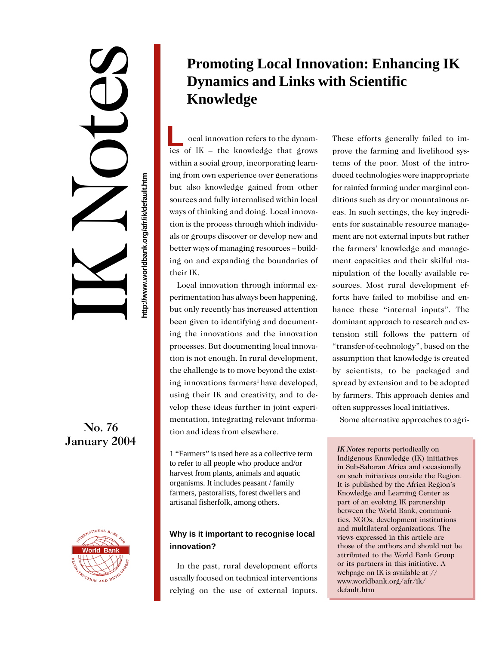http://www.worldbank.org/afr/ik/default.htm **http://www.worldbank.org/afr/ik/default.htm**

IK Notes

## No. 76 January 2004



# **Promoting Local Innovation: Enhancing IK Dynamics and Links with Scientific Knowledge**

 ocal innovation refers to the dynam-**L** ocal innovation refers to the dynamics of IK – the knowledge that grows within a social group, incorporating learning from own experience over generations but also knowledge gained from other sources and fully internalised within local ways of thinking and doing. Local innovation is the process through which individuals or groups discover or develop new and better ways of managing resources – building on and expanding the boundaries of their IK.

Local innovation through informal experimentation has always been happening, but only recently has increased attention been given to identifying and documenting the innovations and the innovation processes. But documenting local innovation is not enough. In rural development, the challenge is to move beyond the existing innovations farmers<sup>1</sup> have developed, using their IK and creativity, and to develop these ideas further in joint experimentation, integrating relevant information and ideas from elsewhere.

1 "Farmers" is used here as a collective term to refer to all people who produce and/or harvest from plants, animals and aquatic organisms. It includes peasant / family farmers, pastoralists, forest dwellers and artisanal fisherfolk, among others.

### **Why is it important to recognise local innovation?**

In the past, rural development efforts usually focused on technical interventions relying on the use of external inputs.

These efforts generally failed to improve the farming and livelihood systems of the poor. Most of the introduced technologies were inappropriate for rainfed farming under marginal conditions such as dry or mountainous areas. In such settings, the key ingredients for sustainable resource management are not external inputs but rather the farmers' knowledge and management capacities and their skilful manipulation of the locally available resources. Most rural development efforts have failed to mobilise and enhance these "internal inputs". The dominant approach to research and extension still follows the pattern of "transfer-of-technology", based on the assumption that knowledge is created by scientists, to be packaged and spread by extension and to be adopted by farmers. This approach denies and often suppresses local initiatives.

Some alternative approaches to agri-

*IK Notes* reports periodically on Indigenous Knowledge (IK) initiatives in Sub-Saharan Africa and occasionally on such initiatives outside the Region. It is published by the Africa Region's Knowledge and Learning Center as part of an evolving IK partnership between the World Bank, communities, NGOs, development institutions and multilateral organizations. The views expressed in this article are those of the authors and should not be attributed to the World Bank Group or its partners in this initiative. A webpage on IK is available at // www.worldbank.org/afr/ik/ default.htm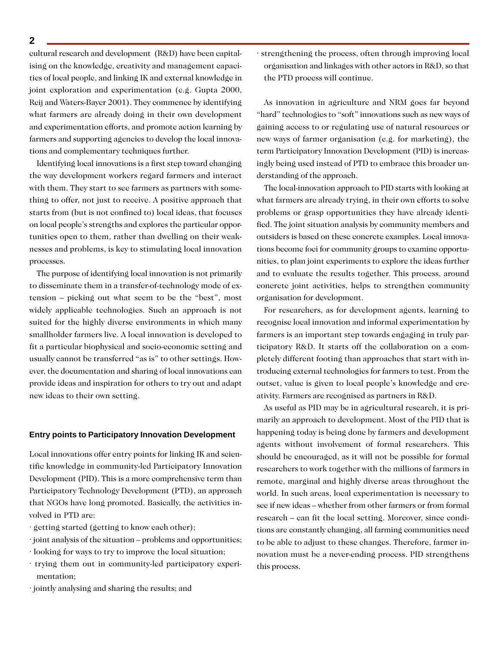cultural research and development (R&D) have been capitalising on the knowledge, creativity and management capacities of local people, and linking IK and external knowledge in joint exploration and experimentation (e.g. Gupta 2000, Reij and Waters-Bayer 2001). They commence by identifying what farmers are already doing in their own development and experimentation efforts, and promote action learning by farmers and supporting agencies to develop the local innovations and complementary techniques further.

Identifying local innovations is a first step toward changing the way development workers regard farmers and interact with them. They start to see farmers as partners with something to offer, not just to receive. A positive approach that starts from (but is not confined to) local ideas, that focuses on local people's strengths and explores the particular opportunities open to them, rather than dwelling on their weaknesses and problems, is key to stimulating local innovation processes.

The purpose of identifying local innovation is not primarily to disseminate them in a transfer-of-technology mode of extension – picking out what seem to be the "best", most widely applicable technologies. Such an approach is not suited for the highly diverse environments in which many smallholder farmers live. A local innovation is developed to fit a particular biophysical and socio-economic setting and usually cannot be transferred "as is" to other settings. However, the documentation and sharing of local innovations can provide ideas and inspiration for others to try out and adapt new ideas to their own setting.

#### **Entry points to Participatory Innovation Development**

Local innovations offer entry points for linking IK and scientific knowledge in community-led Participatory Innovation Development (PID). This is a more comprehensive term than Participatory Technology Development (PTD), an approach that NGOs have long promoted. Basically, the activities involved in PTD are:

- · getting started (getting to know each other);
- · joint analysis of the situation problems and opportunities;
- · looking for ways to try to improve the local situation;
- · trying them out in community-led participatory experimentation;
- · jointly analysing and sharing the results; and

· strengthening the process, often through improving local organisation and linkages with other actors in R&D, so that the PTD process will continue.

As innovation in agriculture and NRM goes far beyond "hard" technologies to "soft" innovations such as new ways of gaining access to or regulating use of natural resources or new ways of farmer organisation (e.g. for marketing), the term Participatory Innovation Development (PID) is increasingly being used instead of PTD to embrace this broader understanding of the approach.

The local-innovation approach to PID starts with looking at what farmers are already trying, in their own efforts to solve problems or grasp opportunities they have already identified. The joint situation analysis by community members and outsiders is based on these concrete examples. Local innovations become foci for community groups to examine opportunities, to plan joint experiments to explore the ideas further and to evaluate the results together. This process, around concrete joint activities, helps to strengthen community organisation for development.

For researchers, as for development agents, learning to recognise local innovation and informal experimentation by farmers is an important step towards engaging in truly participatory R&D. It starts off the collaboration on a completely different footing than approaches that start with introducing external technologies for farmers to test. From the outset, value is given to local people's knowledge and creativity. Farmers are recognised as partners in R&D.

As useful as PID may be in agricultural research, it is primarily an approach to development. Most of the PID that is happening today is being done by farmers and development agents without involvement of formal researchers. This should be encouraged, as it will not be possible for formal researchers to work together with the millions of farmers in remote, marginal and highly diverse areas throughout the world. In such areas, local experimentation is necessary to see if new ideas – whether from other farmers or from formal research – can fit the local setting. Moreover, since conditions are constantly changing, all farming communities need to be able to adjust to these changes. Therefore, farmer innovation must be a never-ending process. PID strengthens this process.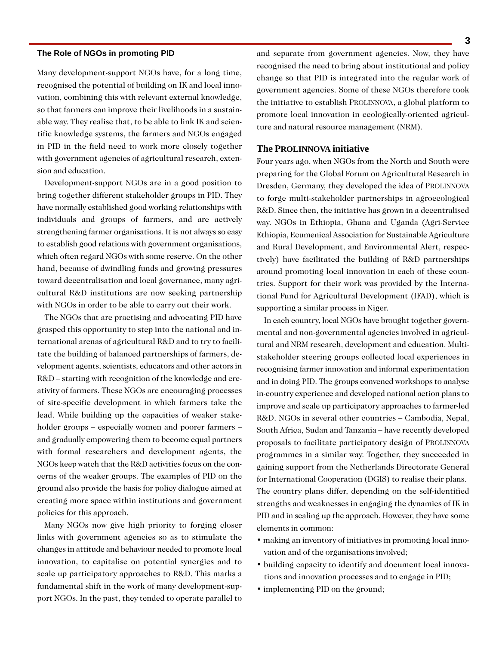#### **The Role of NGOs in promoting PID**

Many development-support NGOs have, for a long time, recognised the potential of building on IK and local innovation, combining this with relevant external knowledge, so that farmers can improve their livelihoods in a sustainable way. They realise that, to be able to link IK and scientific knowledge systems, the farmers and NGOs engaged in PID in the field need to work more closely together with government agencies of agricultural research, extension and education.

Development-support NGOs are in a good position to bring together different stakeholder groups in PID. They have normally established good working relationships with individuals and groups of farmers, and are actively strengthening farmer organisations. It is not always so easy to establish good relations with government organisations, which often regard NGOs with some reserve. On the other hand, because of dwindling funds and growing pressures toward decentralisation and local governance, many agricultural R&D institutions are now seeking partnership with NGOs in order to be able to carry out their work.

The NGOs that are practising and advocating PID have grasped this opportunity to step into the national and international arenas of agricultural R&D and to try to facilitate the building of balanced partnerships of farmers, development agents, scientists, educators and other actors in R&D – starting with recognition of the knowledge and creativity of farmers. These NGOs are encouraging processes of site-specific development in which farmers take the lead. While building up the capacities of weaker stakeholder groups – especially women and poorer farmers – and gradually empowering them to become equal partners with formal researchers and development agents, the NGOs keep watch that the R&D activities focus on the concerns of the weaker groups. The examples of PID on the ground also provide the basis for policy dialogue aimed at creating more space within institutions and government policies for this approach.

Many NGOs now give high priority to forging closer links with government agencies so as to stimulate the changes in attitude and behaviour needed to promote local innovation, to capitalise on potential synergies and to scale up participatory approaches to R&D. This marks a fundamental shift in the work of many development-support NGOs. In the past, they tended to operate parallel to

and separate from government agencies. Now, they have recognised the need to bring about institutional and policy change so that PID is integrated into the regular work of government agencies. Some of these NGOs therefore took the initiative to establish PROLINNOVA, a global platform to promote local innovation in ecologically-oriented agriculture and natural resource management (NRM).

#### **The PROLINNOVA initiative**

Four years ago, when NGOs from the North and South were preparing for the Global Forum on Agricultural Research in Dresden, Germany, they developed the idea of PROLINNOVA to forge multi-stakeholder partnerships in agroecological R&D. Since then, the initiative has grown in a decentralised way. NGOs in Ethiopia, Ghana and Uganda (Agri-Service Ethiopia, Ecumenical Association for Sustainable Agriculture and Rural Development, and Environmental Alert, respectively) have facilitated the building of R&D partnerships around promoting local innovation in each of these countries. Support for their work was provided by the International Fund for Agricultural Development (IFAD), which is supporting a similar process in Niger.

In each country, local NGOs have brought together governmental and non-governmental agencies involved in agricultural and NRM research, development and education. Multistakeholder steering groups collected local experiences in recognising farmer innovation and informal experimentation and in doing PID. The groups convened workshops to analyse in-country experience and developed national action plans to improve and scale up participatory approaches to farmer-led R&D. NGOs in several other countries – Cambodia, Nepal, South Africa, Sudan and Tanzania – have recently developed proposals to facilitate participatory design of PROLINNOVA programmes in a similar way. Together, they succeeded in gaining support from the Netherlands Directorate General for International Cooperation (DGIS) to realise their plans. The country plans differ, depending on the self-identified strengths and weaknesses in engaging the dynamics of IK in PID and in scaling up the approach. However, they have some elements in common:

- making an inventory of initiatives in promoting local innovation and of the organisations involved;
- **•** building capacity to identify and document local innovations and innovation processes and to engage in PID;
- implementing PID on the ground;